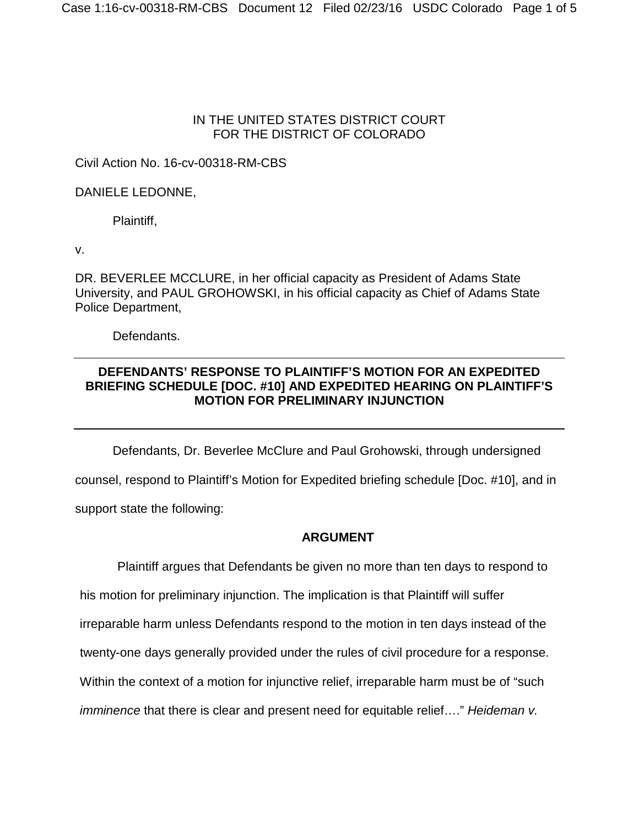#### IN THE UNITED STATES DISTRICT COURT FOR THE DISTRICT OF COLORADO

### Civil Action No. 16-cv-00318-RM-CBS

### DANIELE LEDONNE,

Plaintiff,

v.

DR. BEVERLEE MCCLURE, in her official capacity as President of Adams State University, and PAUL GROHOWSKI, in his official capacity as Chief of Adams State Police Department,

Defendants.

## **DEFENDANTS' RESPONSE TO PLAINTIFF'S MOTION FOR AN EXPEDITED BRIEFING SCHEDULE [DOC. #10] AND EXPEDITED HEARING ON PLAINTIFF'S MOTION FOR PRELIMINARY INJUNCTION**

Defendants, Dr. Beverlee McClure and Paul Grohowski, through undersigned

counsel, respond to Plaintiff's Motion for Expedited briefing schedule [Doc. #10], and in support state the following:

#### **ARGUMENT**

Plaintiff argues that Defendants be given no more than ten days to respond to his motion for preliminary injunction. The implication is that Plaintiff will suffer irreparable harm unless Defendants respond to the motion in ten days instead of the twenty-one days generally provided under the rules of civil procedure for a response. Within the context of a motion for injunctive relief, irreparable harm must be of "such *imminence* that there is clear and present need for equitable relief…." *Heideman v.*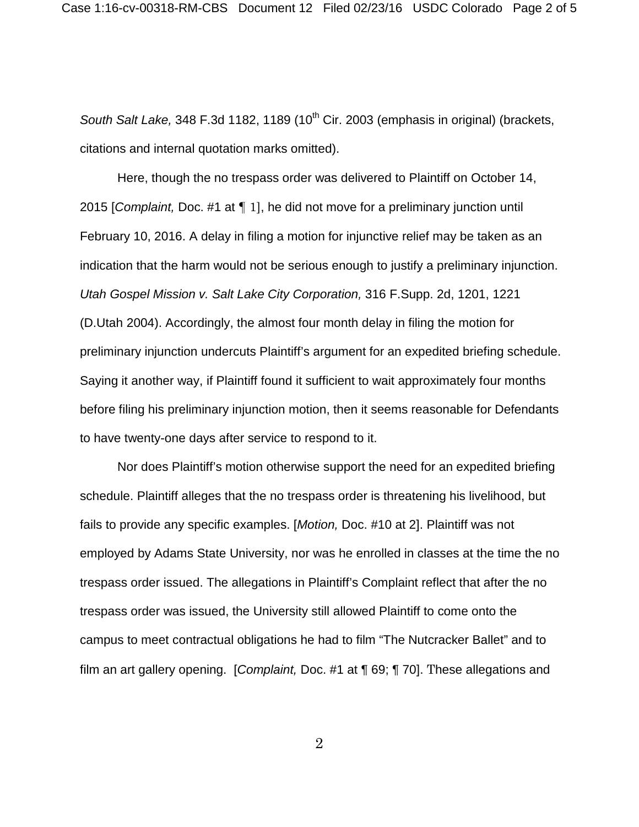South Salt Lake, 348 F.3d 1182, 1189 (10<sup>th</sup> Cir. 2003 (emphasis in original) (brackets, citations and internal quotation marks omitted).

Here, though the no trespass order was delivered to Plaintiff on October 14, 2015 [*Complaint,* Doc. #1 at ¶ 1], he did not move for a preliminary junction until February 10, 2016. A delay in filing a motion for injunctive relief may be taken as an indication that the harm would not be serious enough to justify a preliminary injunction. *Utah Gospel Mission v. Salt Lake City Corporation,* 316 F.Supp. 2d, 1201, 1221 (D.Utah 2004). Accordingly, the almost four month delay in filing the motion for preliminary injunction undercuts Plaintiff's argument for an expedited briefing schedule. Saying it another way, if Plaintiff found it sufficient to wait approximately four months before filing his preliminary injunction motion, then it seems reasonable for Defendants to have twenty-one days after service to respond to it.

Nor does Plaintiff's motion otherwise support the need for an expedited briefing schedule. Plaintiff alleges that the no trespass order is threatening his livelihood, but fails to provide any specific examples. [*Motion,* Doc. #10 at 2]. Plaintiff was not employed by Adams State University, nor was he enrolled in classes at the time the no trespass order issued. The allegations in Plaintiff's Complaint reflect that after the no trespass order was issued, the University still allowed Plaintiff to come onto the campus to meet contractual obligations he had to film "The Nutcracker Ballet" and to film an art gallery opening. [*Complaint,* Doc. #1 at ¶ 69; ¶ 70]. These allegations and

2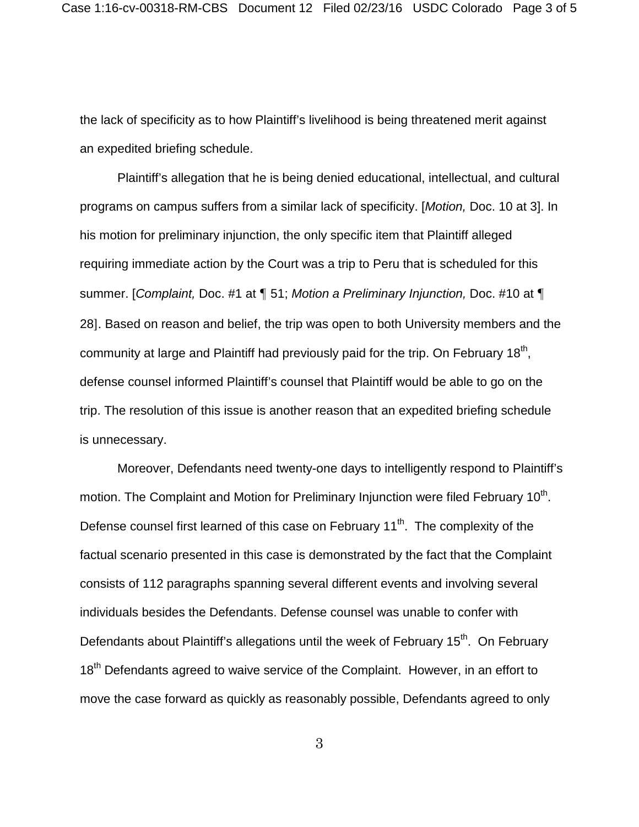the lack of specificity as to how Plaintiff's livelihood is being threatened merit against an expedited briefing schedule.

Plaintiff's allegation that he is being denied educational, intellectual, and cultural programs on campus suffers from a similar lack of specificity. [*Motion,* Doc. 10 at 3]. In his motion for preliminary injunction, the only specific item that Plaintiff alleged requiring immediate action by the Court was a trip to Peru that is scheduled for this summer. [*Complaint,* Doc. #1 at ¶ 51; *Motion a Preliminary Injunction,* Doc. #10 at ¶ 28]. Based on reason and belief, the trip was open to both University members and the community at large and Plaintiff had previously paid for the trip. On February  $18<sup>th</sup>$ , defense counsel informed Plaintiff's counsel that Plaintiff would be able to go on the trip. The resolution of this issue is another reason that an expedited briefing schedule is unnecessary.

Moreover, Defendants need twenty-one days to intelligently respond to Plaintiff's motion. The Complaint and Motion for Preliminary Injunction were filed February 10<sup>th</sup>. Defense counsel first learned of this case on February 11<sup>th</sup>. The complexity of the factual scenario presented in this case is demonstrated by the fact that the Complaint consists of 112 paragraphs spanning several different events and involving several individuals besides the Defendants. Defense counsel was unable to confer with Defendants about Plaintiff's allegations until the week of February 15<sup>th</sup>. On February 18<sup>th</sup> Defendants agreed to waive service of the Complaint. However, in an effort to move the case forward as quickly as reasonably possible, Defendants agreed to only

3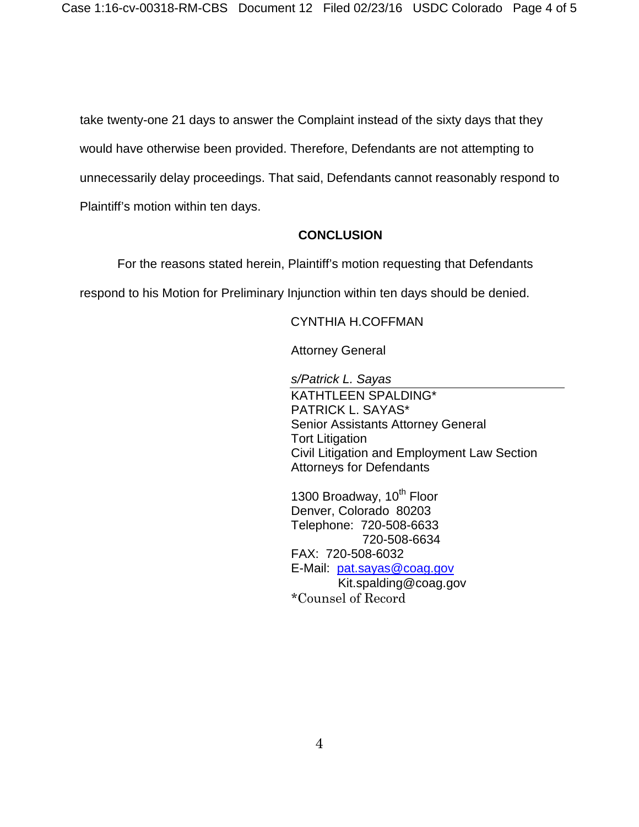take twenty-one 21 days to answer the Complaint instead of the sixty days that they would have otherwise been provided. Therefore, Defendants are not attempting to unnecessarily delay proceedings. That said, Defendants cannot reasonably respond to Plaintiff's motion within ten days.

#### **CONCLUSION**

For the reasons stated herein, Plaintiff's motion requesting that Defendants

respond to his Motion for Preliminary Injunction within ten days should be denied.

#### CYNTHIA H.COFFMAN

Attorney General

*s/Patrick L. Sayas*

KATHTLEEN SPALDING\* PATRICK L. SAYAS\* Senior Assistants Attorney General Tort Litigation Civil Litigation and Employment Law Section Attorneys for Defendants

1300 Broadway, 10<sup>th</sup> Floor Denver, Colorado 80203 Telephone: 720-508-6633 720-508-6634 FAX: 720-508-6032 E-Mail: [pat.sayas@coag.gov](mailto:pat.sayas@coag.gov) Kit.spalding@coag.gov \*Counsel of Record